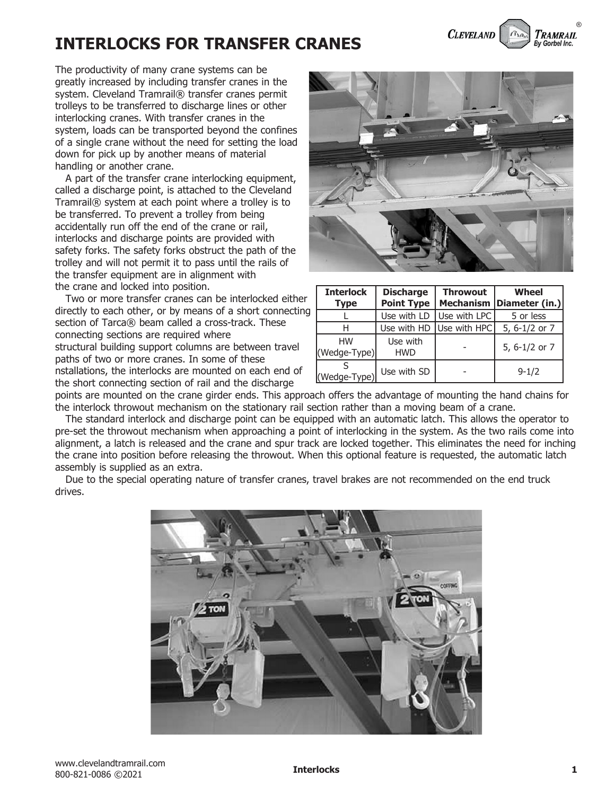## **INTERLOCKS FOR TRANSFER CRANES**

The productivity of many crane systems can be greatly increased by including transfer cranes in the system. Cleveland Tramrail® transfer cranes permit trolleys to be transferred to discharge lines or other interlocking cranes. With transfer cranes in the system, loads can be transported beyond the confines of a single crane without the need for setting the load down for pick up by another means of material handling or another crane.

 A part of the transfer crane interlocking equipment, called a discharge point, is attached to the Cleveland Tramrail® system at each point where a trolley is to be transferred. To prevent a trolley from being accidentally run off the end of the crane or rail, interlocks and discharge points are provided with safety forks. The safety forks obstruct the path of the trolley and will not permit it to pass until the rails of the transfer equipment are in alignment with the crane and locked into position.

 Two or more transfer cranes can be interlocked either directly to each other, or by means of a short connecting section of Tarca® beam called a cross-track. These connecting sections are required where structural building support columns are between travel paths of two or more cranes. In some of these nstallations, the interlocks are mounted on each end of the short connecting section of rail and the discharge



**CLEVELAND** 

| <b>Interlock</b><br><b>Type</b> | <b>Discharge</b><br><b>Point Type</b> | <b>Throwout</b><br><b>Mechanism</b> | Wheel<br>Diameter (in.) |
|---------------------------------|---------------------------------------|-------------------------------------|-------------------------|
|                                 | Use with LD                           | Use with LPC                        | 5 or less               |
| Н                               | Use with HD                           | Use with HPC                        | 5, 6-1/2 or 7           |
| <b>HW</b><br>(Wedge-Type)       | Use with<br><b>HWD</b>                |                                     | 5, 6-1/2 or 7           |
| (Wedge-Type)                    | Use with SD                           |                                     | $9 - 1/2$               |

points are mounted on the crane girder ends. This approach offers the advantage of mounting the hand chains for the interlock throwout mechanism on the stationary rail section rather than a moving beam of a crane.

 The standard interlock and discharge point can be equipped with an automatic latch. This allows the operator to pre-set the throwout mechanism when approaching a point of interlocking in the system. As the two rails come into alignment, a latch is released and the crane and spur track are locked together. This eliminates the need for inching the crane into position before releasing the throwout. When this optional feature is requested, the automatic latch assembly is supplied as an extra.

 Due to the special operating nature of transfer cranes, travel brakes are not recommended on the end truck drives.



®

Tramrail **Ry Gorbel Inc.**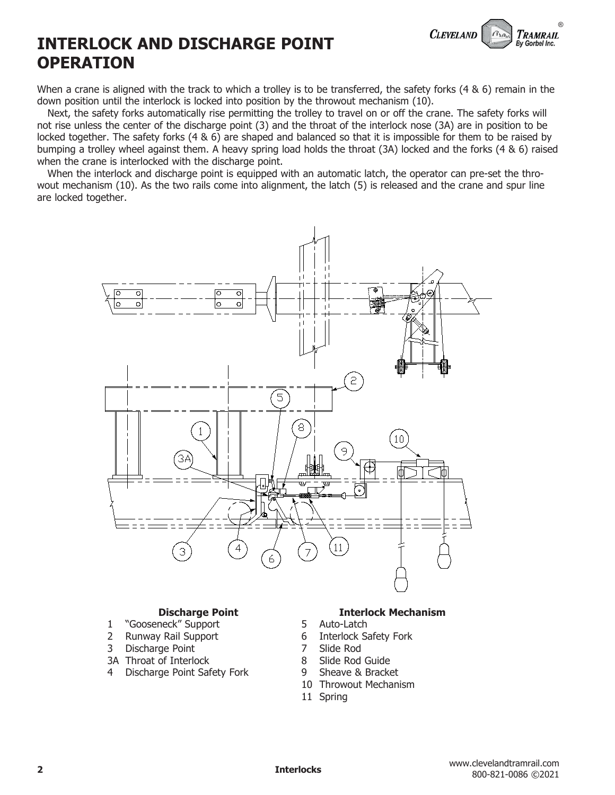```
wout mechanism (10). As the two rails come into alignment, the latch (5) is released and the crane and spur line
```
**CLEVELAND** 

®

TRAMRAIL By Gorbel Inc.



When a crane is aligned with the track to which a trolley is to be transferred, the safety forks (4 & 6) remain in the

 Next, the safety forks automatically rise permitting the trolley to travel on or off the crane. The safety forks will not rise unless the center of the discharge point (3) and the throat of the interlock nose (3A) are in position to be locked together. The safety forks (4 & 6) are shaped and balanced so that it is impossible for them to be raised by bumping a trolley wheel against them. A heavy spring load holds the throat (3A) locked and the forks (4 & 6) raised

When the interlock and discharge point is equipped with an automatic latch, the operator can pre-set the thro-

## **Discharge Point**

**INTERLOCK AND DISCHARGE POINT**

when the crane is interlocked with the discharge point.

down position until the interlock is locked into position by the throwout mechanism (10).

**OPERATION**

are locked together.

- 1 "Gooseneck" Support<br>2 Runway Rail Support 2 Runway Rail Support
- 3 Discharge Point
- 3A Throat of Interlock
- 4 Discharge Point Safety Fork

#### **Interlock Mechanism**

- 
- 5 Auto-Latch<br>6 Interlock Sa 6 Interlock Safety Fork<br>7 Slide Rod
- 
- 7 Slide Rod<br>8 Slide Rod
- 8 Slide Rod Guide<br>9 Sheave & Bracke Sheave & Bracket
- 10 Throwout Mechanism
- 11 Spring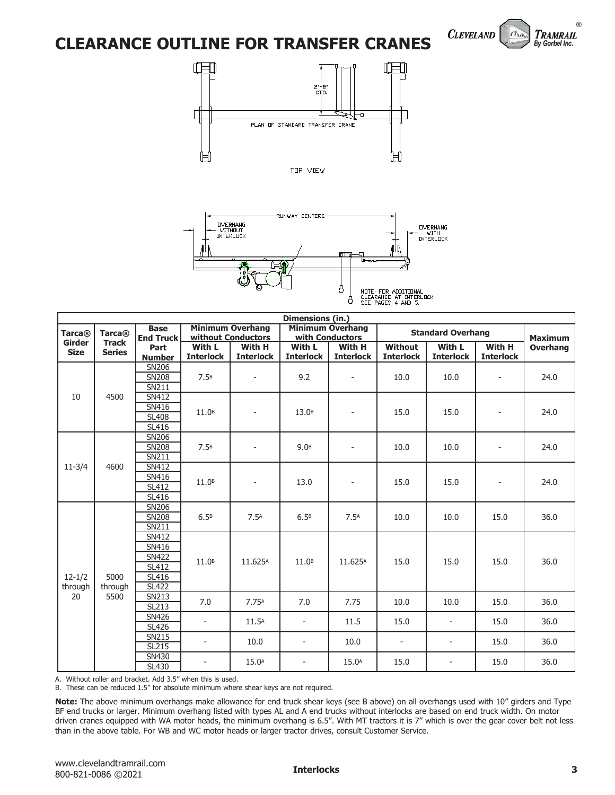## **CLEARANCE OUTLINE FOR TRANSFER CRANES**







| Dimensions (in.)      |                               |                                                                                  |                            |                            |                            |                                            |                                    |                            |                            |                 |  |
|-----------------------|-------------------------------|----------------------------------------------------------------------------------|----------------------------|----------------------------|----------------------------|--------------------------------------------|------------------------------------|----------------------------|----------------------------|-----------------|--|
| <b>Tarca®</b>         | <b>Tarca®</b>                 | <b>Minimum Overhang</b><br><b>Base</b><br>without Conductors<br><b>End Truck</b> |                            |                            |                            | <b>Minimum Overhang</b><br>with Conductors |                                    | <b>Standard Overhang</b>   |                            | <b>Maximum</b>  |  |
| Girder<br><b>Size</b> | <b>Track</b><br><b>Series</b> | Part<br><b>Number</b>                                                            | With L<br><b>Interlock</b> | With H<br><b>Interlock</b> | With L<br><b>Interlock</b> | With H<br><b>Interlock</b>                 | <b>Without</b><br><b>Interlock</b> | With L<br><b>Interlock</b> | With H<br><b>Interlock</b> | <b>Overhang</b> |  |
|                       |                               | <b>SN206</b><br><b>SN208</b><br><b>SN211</b>                                     | 7.5B                       | ÷,                         | 9.2                        | $\overline{\phantom{a}}$                   | 10.0                               | 10.0                       | $\overline{\phantom{a}}$   | 24.0            |  |
| 10                    | 4500                          | <b>SN412</b><br>SN416<br><b>SL408</b><br>SL416                                   | 11.0 <sup>B</sup>          | $\overline{\phantom{a}}$   | 13.0 <sup>B</sup>          | $\overline{\phantom{a}}$                   | 15.0                               | 15.0                       |                            | 24.0            |  |
|                       |                               | SN <sub>206</sub><br><b>SN208</b><br>SN211                                       | 7.5 <sup>B</sup>           | $\overline{\phantom{m}}$   | 9.0 <sup>B</sup>           | $\overline{\phantom{a}}$                   | 10.0                               | 10.0                       |                            | 24.0            |  |
| $11 - 3/4$            | 4600                          | SN412<br>SN416<br>SL412<br>SL416                                                 | 11.0 <sup>B</sup>          |                            | 13.0                       | $\overline{\phantom{a}}$                   | 15.0                               | 15.0                       |                            | 24.0            |  |
|                       | 5000<br>through               | <b>SN206</b><br><b>SN208</b><br>SN211                                            | 6.5 <sup>B</sup>           | 7.5 <sub>A</sub>           | 6.5 <sup>B</sup>           | 7.5 <sub>A</sub>                           | 10.0                               | 10.0                       | 15.0                       | 36.0            |  |
| $12 - 1/2$<br>through |                               | <b>SN412</b><br>SN416<br><b>SN422</b><br>SL412<br><b>SL416</b><br><b>SL422</b>   | 11.0 <sup>B</sup>          | 11.625A                    | 11.0 <sup>B</sup>          | 11.625A                                    | 15.0                               | 15.0                       | 15.0                       | 36.0            |  |
| 20                    | 5500                          | <b>SN213</b><br>SL213                                                            | 7.0                        | 7.75 <sup>A</sup>          | 7.0                        | 7.75                                       | 10.0                               | 10.0                       | 15.0                       | 36.0            |  |
|                       |                               | SN426<br><b>SL426</b>                                                            |                            | 11.5 <sup>A</sup>          | $\blacksquare$             | 11.5                                       | 15.0                               | $\overline{\phantom{a}}$   | 15.0                       | 36.0            |  |
|                       |                               | SN215<br>SL215                                                                   |                            | 10.0                       | $\overline{\phantom{a}}$   | 10.0                                       | $\overline{\phantom{a}}$           | $\overline{\phantom{a}}$   | 15.0                       | 36.0            |  |
|                       |                               | SN430<br>SL430                                                                   |                            | 15.0 <sup>A</sup>          | $\overline{\phantom{a}}$   | 15.0 <sup>A</sup>                          | 15.0                               | $\overline{\phantom{a}}$   | 15.0                       | 36.0            |  |

A. Without roller and bracket. Add 3.5" when this is used.

B. These can be reduced 1.5" for absolute minimum where shear keys are not required.

**Note:** The above minimum overhangs make allowance for end truck shear keys (see B above) on all overhangs used with 10" girders and Type BF end trucks or larger. Minimum overhang listed with types AL and A end trucks without interlocks are based on end truck width. On motor driven cranes equipped with WA motor heads, the minimum overhang is 6.5". With MT tractors it is 7" which is over the gear cover belt not less than in the above table. For WB and WC motor heads or larger tractor drives, consult Customer Service.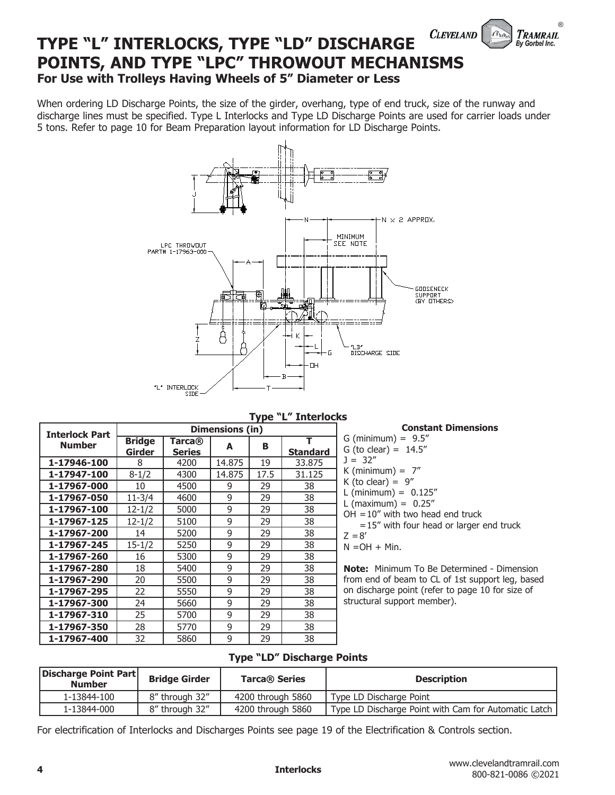### **CLEVELAND TYPE "L" INTERLOCKS, TYPE "LD" DISCHARGE POINTS, AND TYPE "LPC" THROWOUT MECHANISMS For Use with Trolleys Having Wheels of 5" Diameter or Less**

When ordering LD Discharge Points, the size of the girder, overhang, type of end truck, size of the runway and discharge lines must be specified. Type L Interlocks and Type LD Discharge Points are used for carrier loads under 5 tons. Refer to page 10 for Beam Preparation layout information for LD Discharge Points.



**Type "L" Interlocks**

| <b>Interlock Part</b> |                         | Dimensions (in)            |        |      |                 |  |  |  |  |  |  |
|-----------------------|-------------------------|----------------------------|--------|------|-----------------|--|--|--|--|--|--|
| <b>Number</b>         | <b>Bridge</b><br>Girder | Tarca $@$<br><b>Series</b> | A      | в    | <b>Standard</b> |  |  |  |  |  |  |
| 1-17946-100           | 8                       | 4200                       | 14.875 | 19   | 33,875          |  |  |  |  |  |  |
| 1-17947-100           | $8 - 1/2$               | 4300                       | 14.875 | 17.5 | 31.125          |  |  |  |  |  |  |
| 1-17967-000           | 10                      | 4500                       | 9      | 29   | 38              |  |  |  |  |  |  |
| 1-17967-050           | 11-3/4                  | 4600                       | 9      | 29   | 38              |  |  |  |  |  |  |
| 1-17967-100           | 12-1/2                  | 5000                       | 9      | 29   | 38              |  |  |  |  |  |  |
| 1-17967-125           | 12-1/2                  | 5100                       | 9      | 29   | 38              |  |  |  |  |  |  |
| 1-17967-200           | 14                      | 5200                       | 9      | 29   | 38              |  |  |  |  |  |  |
| 1-17967-245           | 15-1/2                  | 5250                       | 9      | 29   | 38              |  |  |  |  |  |  |
| 1-17967-260           | 16                      | 5300                       | 9      | 29   | 38              |  |  |  |  |  |  |
| 1-17967-280           | 18                      | 5400                       | 9      | 29   | 38              |  |  |  |  |  |  |
| 1-17967-290           | 20                      | 5500                       | 9      | 29   | 38              |  |  |  |  |  |  |
| 1-17967-295           | 22                      | 5550                       | 9      | 29   | 38              |  |  |  |  |  |  |
| 1-17967-300           | 24                      | 5660                       | 9      | 29   | 38              |  |  |  |  |  |  |
| 1-17967-310           | 25                      | 5700                       | 9      | 29   | 38              |  |  |  |  |  |  |
| 1-17967-350           | 28                      | 5770                       | 9      | 29   | 38              |  |  |  |  |  |  |
| 1-17967-400           | 32                      | 5860                       | 9      | 29   | 38              |  |  |  |  |  |  |

#### **Constant Dimensions**

®

TRAMRAIL By Gorbel Inc.

| טוסוטונו                                          |
|---------------------------------------------------|
| G (minimum) = $9.5$ "                             |
| G (to clear) = $14.5''$                           |
| $1 = 32''$                                        |
| K (minimum) = $7''$                               |
| K (to clear) = $9''$                              |
| L (minimum) = $0.125''$                           |
| L (maximum) = $0.25''$                            |
| $OH = 10''$ with two head end truck               |
| $=15$ " with four head or larger end truck        |
| $Z = 8'$                                          |
| $N = OH + Min$ .                                  |
|                                                   |
| <b>Note:</b> Minimum To Be Determined - Dimension |

**Note:** Minimum To Be Determined - Dimension from end of beam to CL of 1st support leg, based on discharge point (refer to page 10 for size of structural support member).

#### **Type "LD" Discharge Points**

| Discharge Point Part<br><b>Number</b> | <b>Bridge Girder</b> | <b>Tarca® Series</b> | <b>Description</b>                                   |  |  |
|---------------------------------------|----------------------|----------------------|------------------------------------------------------|--|--|
| 1-13844-100                           | 8" through 32"       | 4200 through 5860    | Type LD Discharge Point                              |  |  |
| 1-13844-000                           | 8" through 32"       | 4200 through 5860    | Type LD Discharge Point with Cam for Automatic Latch |  |  |

For electrification of Interlocks and Discharges Points see page 19 of the Electrification & Controls section.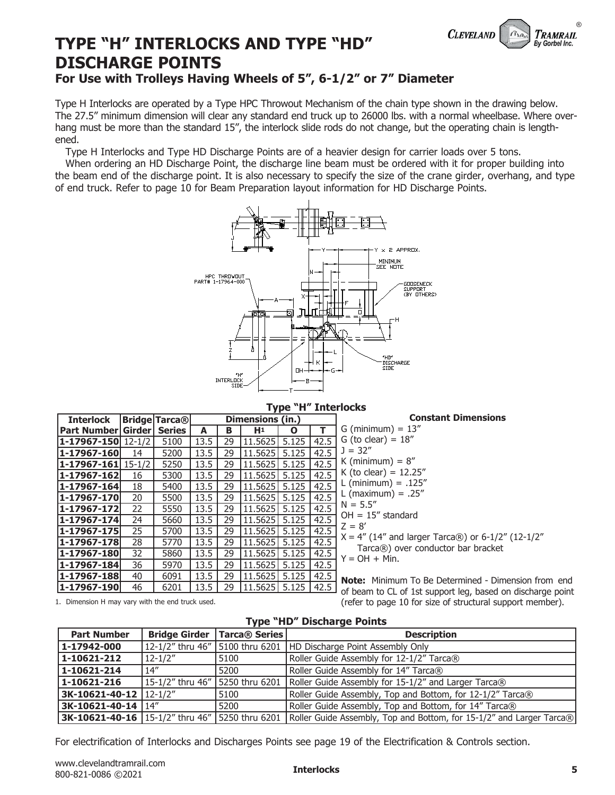

# **TYPE "H" INTERLOCKS AND TYPE "HD" DISCHARGE POINTS**

### **For Use with Trolleys Having Wheels of 5", 6-1/2" or 7" Diameter**

Type H Interlocks are operated by a Type HPC Throwout Mechanism of the chain type shown in the drawing below. The 27.5" minimum dimension will clear any standard end truck up to 26000 lbs. with a normal wheelbase. Where overhang must be more than the standard 15", the interlock slide rods do not change, but the operating chain is lengthened.

Type H Interlocks and Type HD Discharge Points are of a heavier design for carrier loads over 5 tons.

 When ordering an HD Discharge Point, the discharge line beam must be ordered with it for proper building into the beam end of the discharge point. It is also necessary to specify the size of the crane girder, overhang, and type of end truck. Refer to page 10 for Beam Preparation layout information for HD Discharge Points.



#### **Type "H" Interlocks**

| <b>Interlock</b>                   |    | <b>Bridge Tarca®</b> |      |    | Dimensions (in.)      |   |      | <b>Constant Dimensions</b>                                  |
|------------------------------------|----|----------------------|------|----|-----------------------|---|------|-------------------------------------------------------------|
| <b>Part Number Girder   Series</b> |    |                      | А    | в  | H <sup>1</sup>        | O | т    | $G$ (minimum) = 13"                                         |
| <b>1-17967-150</b> 12-1/2          |    | 5100                 | 13.5 | 29 | 11.5625 5.125         |   | 42.5 | G (to clear) = $18''$                                       |
| 1-17967-160                        | 14 | 5200                 | 13.5 | 29 | 11.5625 5.125         |   | 42.5 | $J = 32"$                                                   |
| $ 1 - 17967 - 161  15 - 1/2 $      |    | 5250                 | 13.5 | 29 | 11.5625 5.125         |   | 42.5 | K (minimum) = $8''$                                         |
| 1-17967-162                        | 16 | 5300                 | 13.5 | 29 | 11.5625 5.125         |   | 42.5 | K (to clear) = $12.25''$                                    |
| $ 1 - 17967 - 164 $                | 18 | 5400                 | 13.5 | 29 | 11.5625 5.125         |   | 42.5 | L (minimum) = $.125''$                                      |
| 1-17967-170                        | 20 | 5500                 | 13.5 | 29 | 11.5625 5.125         |   | 42.5 | L (maximum) = $.25''$                                       |
| $ 1 - 17967 - 172 $                | 22 | 5550                 | 13.5 | 29 | 11.5625 5.125         |   | 42.5 | $N = 5.5"$                                                  |
| 1-17967-174                        | 24 | 5660                 | 13.5 | 29 | 11.5625 5.125         |   | 42.5 | $OH = 15''$ standard                                        |
| 1-17967-175                        | 25 | 5700                 | 13.5 | 29 | 11.5625  5.125        |   | 42.5 | $Z = 8'$                                                    |
| 1-17967-178                        | 28 | 5770                 | 13.5 | 29 | 11.5625 5.125         |   | 42.5 | $X = 4''$ (14" and larger Tarca®) or 6-1/2" (12-1/2"        |
| 1-17967-180                        | 32 | 5860                 | 13.5 | 29 | 11.5625 5.125         |   | 42.5 | $Tarca$ $()$ over conductor bar bracket<br>$Y = OH + Min$ . |
| $ 1 - 17967 - 184 $                | 36 | 5970                 | 13.5 | 29 | 11.5625  5.125        |   | 42.5 |                                                             |
| $ 1 - 17967 - 188 $                | 40 | 6091                 | 13.5 | 29 | $11.5625$ 5.125 42.5  |   |      | <b>Note:</b> Minimum To Be Determined - Dimension from end  |
| 1-17967-190                        | 46 | 6201                 | 13.5 | 29 | 11.5625  5.125   42.5 |   |      | of beam to CL of 1st support leg, based on discharge point  |

1. Dimension H may vary with the end truck used.

**Type "HD" Discharge Points**

(refer to page 10 for size of structural support member).

| <b>Part Number</b>         | <b>Bridge Girder</b> | Tarca <sup>®</sup> Series | <b>Description</b>                                                                                                        |
|----------------------------|----------------------|---------------------------|---------------------------------------------------------------------------------------------------------------------------|
| 1-17942-000                |                      |                           | 12-1/2" thru 46"   5100 thru 6201   HD Discharge Point Assembly Only                                                      |
| $1 - 10621 - 212$          | $12 - 1/2"$          | 5100                      | Roller Guide Assembly for 12-1/2" Tarca®                                                                                  |
| 1-10621-214                | 14''                 | 5200                      | Roller Guide Assembly for 14" Tarca®                                                                                      |
| $1 - 10621 - 216$          |                      |                           | 15-1/2" thru 46"   5250 thru 6201   Roller Guide Assembly for 15-1/2" and Larger Tarca®                                   |
| $3K-10621-40-12$   12-1/2" |                      | 5100                      | Roller Guide Assembly, Top and Bottom, for 12-1/2" Tarca®                                                                 |
| $3K-10621-40-14$ $14"$     |                      | 5200                      | Roller Guide Assembly, Top and Bottom, for 14" Tarca®                                                                     |
|                            |                      |                           | 3K-10621-40-16   15-1/2" thru 46"   5250 thru 6201   Roller Guide Assembly, Top and Bottom, for 15-1/2" and Larger Tarca® |

For electrification of Interlocks and Discharges Points see page 19 of the Electrification & Controls section.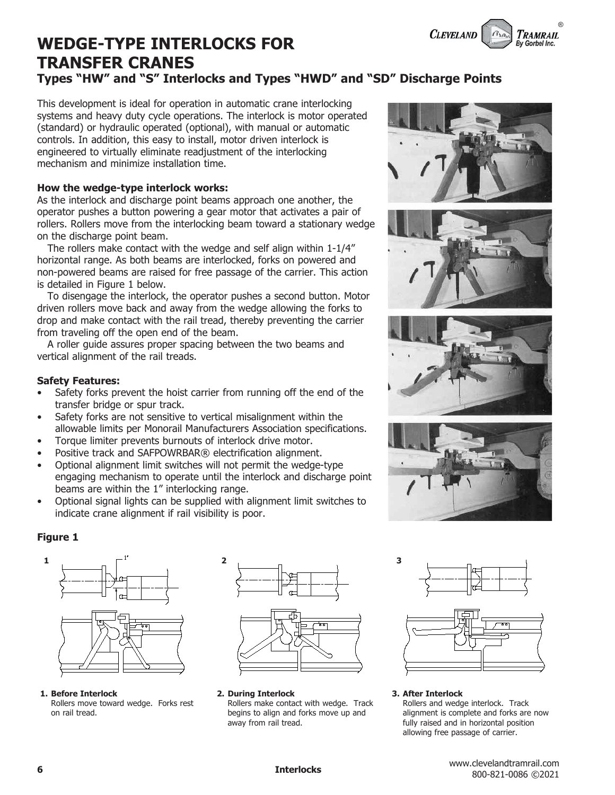

# **WEDGE-TYPE INTERLOCKS FOR TRANSFER CRANES**

### **Types "HW" and "S" Interlocks and Types "HWD" and "SD" Discharge Points**

This development is ideal for operation in automatic crane interlocking systems and heavy duty cycle operations. The interlock is motor operated (standard) or hydraulic operated (optional), with manual or automatic controls. In addition, this easy to install, motor driven interlock is engineered to virtually eliminate readjustment of the interlocking mechanism and minimize installation time.

#### **How the wedge-type interlock works:**

As the interlock and discharge point beams approach one another, the operator pushes a button powering a gear motor that activates a pair of rollers. Rollers move from the interlocking beam toward a stationary wedge on the discharge point beam.

 The rollers make contact with the wedge and self align within 1-1/4" horizontal range. As both beams are interlocked, forks on powered and non-powered beams are raised for free passage of the carrier. This action is detailed in Figure 1 below.

 To disengage the interlock, the operator pushes a second button. Motor driven rollers move back and away from the wedge allowing the forks to drop and make contact with the rail tread, thereby preventing the carrier from traveling off the open end of the beam.

 A roller guide assures proper spacing between the two beams and vertical alignment of the rail treads.

#### **Safety Features:**

- Safety forks prevent the hoist carrier from running off the end of the transfer bridge or spur track.
- Safety forks are not sensitive to vertical misalignment within the allowable limits per Monorail Manufacturers Association specifications.
- Torque limiter prevents burnouts of interlock drive motor.
- Positive track and SAFPOWRBAR® electrification alignment.
- Optional alignment limit switches will not permit the wedge-type engaging mechanism to operate until the interlock and discharge point beams are within the 1" interlocking range.
- Optional signal lights can be supplied with alignment limit switches to indicate crane alignment if rail visibility is poor.







#### **Figure 1**



**1. Before Interlock** Rollers move toward wedge. Forks rest on rail tread.



**2. During Interlock**

Rollers make contact with wedge. Track begins to align and forks move up and away from rail tread.





#### **3. After Interlock**

Rollers and wedge interlock. Track alignment is complete and forks are now fully raised and in horizontal position allowing free passage of carrier.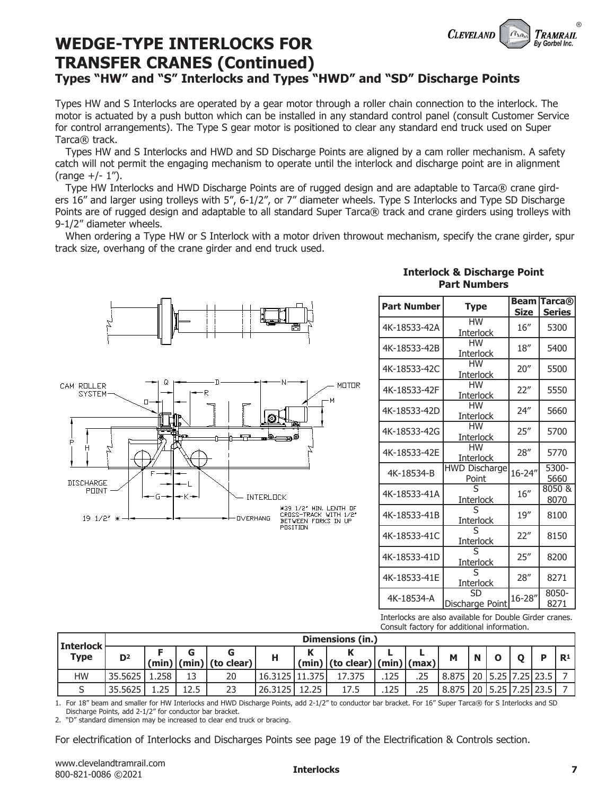

### **WEDGE-TYPE INTERLOCKS FOR TRANSFER CRANES (Continued) Types "HW" and "S" Interlocks and Types "HWD" and "SD" Discharge Points**

Types HW and S Interlocks are operated by a gear motor through a roller chain connection to the interlock. The motor is actuated by a push button which can be installed in any standard control panel (consult Customer Service for control arrangements). The Type S gear motor is positioned to clear any standard end truck used on Super Tarca® track.

 Types HW and S Interlocks and HWD and SD Discharge Points are aligned by a cam roller mechanism. A safety catch will not permit the engaging mechanism to operate until the interlock and discharge point are in alignment  $(range +/- 1")$ .

 Type HW Interlocks and HWD Discharge Points are of rugged design and are adaptable to Tarca® crane girders 16" and larger using trolleys with 5", 6-1/2", or 7" diameter wheels. Type S Interlocks and Type SD Discharge Points are of rugged design and adaptable to all standard Super Tarca® track and crane girders using trolleys with 9-1/2" diameter wheels.

When ordering a Type HW or S Interlock with a motor driven throwout mechanism, specify the crane girder, spur track size, overhang of the crane girder and end truck used.



|  | <b>Interlock &amp; Discharge Point</b> |  |
|--|----------------------------------------|--|
|  | <b>Part Numbers</b>                    |  |

| <b>Part Number</b> | <b>Type</b>                   | Beam<br><b>Size</b> | Tarca $@$<br><b>Series</b> |
|--------------------|-------------------------------|---------------------|----------------------------|
| 4K-18533-42A       | <b>HW</b><br><b>Interlock</b> | 16''                | 5300                       |
| 4K-18533-42B       | <b>HW</b><br><b>Interlock</b> | 18''                | 5400                       |
| 4K-18533-42C       | НW<br><b>Interlock</b>        | 20''                | 5500                       |
| 4K-18533-42F       | НW<br><b>Interlock</b>        | 22"                 | 5550                       |
| 4K-18533-42D       | <b>HW</b><br><b>Interlock</b> | 24''                | 5660                       |
| 4K-18533-42G       | <b>HW</b><br><b>Interlock</b> | 25''                | 5700                       |
| 4K-18533-42E       | <b>HW</b><br><b>Interlock</b> | 28"                 | 5770                       |
| 4K-18534-B         | <b>HWD Discharge</b><br>Point | 16-24"              | 5300-<br>5660              |
| 4K-18533-41A       | ς<br>Interlock                | 16''                | 8050 &<br>8070             |
| 4K-18533-41B       | <b>Interlock</b>              | 19''                | 8100                       |
| 4K-18533-41C       | Interlock                     | 22"                 | 8150                       |
| 4K-18533-41D       | <b>Interlock</b>              | 25''                | 8200                       |
| 4K-18533-41E       | Interlock                     | 28''                | 8271                       |
| 4K-18534-A         | SD<br>Discharge Point         | $16 - 28''$         | 8050-<br>8271              |

Interlocks are also available for Double Girder cranes. Consult factory for additional information.

|                                       |                |                  |      |                            |                 |       |                                    |      | Consult ructory for additional imprimation. |                                   |  |  |  |           |                |
|---------------------------------------|----------------|------------------|------|----------------------------|-----------------|-------|------------------------------------|------|---------------------------------------------|-----------------------------------|--|--|--|-----------|----------------|
|                                       |                | Dimensions (in.) |      |                            |                 |       |                                    |      |                                             |                                   |  |  |  |           |                |
| Interlock <sup> </sup><br><b>Type</b> | D <sup>2</sup> |                  |      |                            | н               |       |                                    |      |                                             | M                                 |  |  |  |           | $\mathbb{R}^1$ |
|                                       |                |                  |      | (min)   (min)   (to clear) |                 |       | (min)   (to clear)   (min)   (max) |      |                                             |                                   |  |  |  |           |                |
| <b>HW</b>                             | 35.5625        | 1.258            | 12   | 20                         | 16.3125 111.375 |       | 17.375                             | 125  | .25                                         | $8.875$   20   5.25   7.25   23.5 |  |  |  |           |                |
|                                       | 35.5625        | つに               | 12.5 |                            | 26.3125         | 12.25 | 17.5                               | .125 |                                             | 8.875   20   5.25                 |  |  |  | 7.25 23.5 |                |

1. For 18" beam and smaller for HW Interlocks and HWD Discharge Points, add 2-1/2" to conductor bar bracket. For 16" Super Tarca® for S Interlocks and SD Discharge Points, add 2-1/2" for conductor bar bracket.

2. "D" standard dimension may be increased to clear end truck or bracing.

For electrification of Interlocks and Discharges Points see page 19 of the Electrification & Controls section.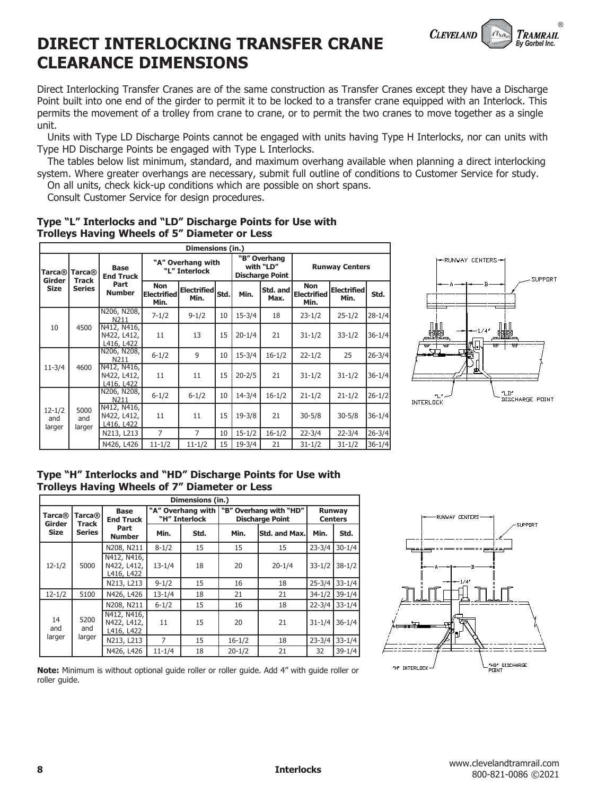## **DIRECT INTERLOCKING TRANSFER CRANE CLEARANCE DIMENSIONS**

Direct Interlocking Transfer Cranes are of the same construction as Transfer Cranes except they have a Discharge Point built into one end of the girder to permit it to be locked to a transfer crane equipped with an Interlock. This permits the movement of a trolley from crane to crane, or to permit the two cranes to move together as a single unit.

 Units with Type LD Discharge Points cannot be engaged with units having Type H Interlocks, nor can units with Type HD Discharge Points be engaged with Type L Interlocks.

 The tables below list minimum, standard, and maximum overhang available when planning a direct interlocking system. Where greater overhangs are necessary, submit full outline of conditions to Customer Service for study.

**Runway Centers**

**Electrified** 

**Min. Std.**

**Non Electrified Min.**

**"B" Overhang with "LD" Discharge Point**

**Max.**

11 13 15 20-1/4 21 31-1/2 33-1/2 36-1/4

11 11 15 20-2/5 21 31-1/2 31-1/2 36-1/4

**Min. Std. Min. Std. and** 

N211 7-1/2 9-1/2 <sup>10</sup> 15-3/4 <sup>18</sup> 23-1/2 25-1/2 28-1/4

N211 6-1/2 9 10 15-3/4 16-1/2 22-1/2 25 26-3/4

On all units, check kick-up conditions which are possible on short spans.

**Dimensions (in.)**

**Electrified** Std

Consult Customer Service for design procedures.

**Non Electrified Min.**

#### **Type "L" Interlocks and "LD" Discharge Points for Use with Trolleys Having Wheels of 5" Diameter or Less**

**"A" Overhang with "L" Interlock**

| Type "H" Interlocks and "HD" Discharge Points for Use with |                       |                                          |            |            |    |            |            |            |            |            |  |
|------------------------------------------------------------|-----------------------|------------------------------------------|------------|------------|----|------------|------------|------------|------------|------------|--|
|                                                            |                       |                                          |            |            |    |            |            |            |            |            |  |
|                                                            |                       | N426, L426                               | $11 - 1/2$ | $11 - 1/2$ | 15 | $19 - 3/4$ | 21         | $31 - 1/2$ | $31 - 1/2$ | $36 - 1/4$ |  |
|                                                            | 5000<br>and<br>larger | N213, L213                               |            |            | 10 | $15 - 1/2$ | $16 - 1/2$ | $22 - 3/4$ | $22 - 3/4$ | 26-3/4     |  |
| $12 - 1/2$<br>and<br>larger                                |                       | N412, N416,<br>N422, L412,<br>L416, L422 | 11         | 11         | 15 | $19 - 3/8$ | 21         | $30 - 5/8$ | $30 - 5/8$ | $36 - 1/4$ |  |
|                                                            |                       | IN206, N208, I<br>N211                   | $6 - 1/2$  | $6 - 1/2$  | 10 | $14 - 3/4$ | $16 - 1/2$ | $21 - 1/2$ | $21 - 1/2$ | $26 - 1/2$ |  |

| Type The Interlocks and The Discharge Points for Use With<br>Trolleys Having Wheels of 7" Diameter or Less |  |                                                    |               |                                                                        |                          |  |  |  |  |  |
|------------------------------------------------------------------------------------------------------------|--|----------------------------------------------------|---------------|------------------------------------------------------------------------|--------------------------|--|--|--|--|--|
| Dimensions (in.)                                                                                           |  |                                                    |               |                                                                        |                          |  |  |  |  |  |
|                                                                                                            |  | <b>Base</b><br>$ Tarca@ $ Tarca $@ $ Fnd Truck $ $ | "H" Interlock | "A" Overhang with   "B" Overhang with "HD"  <br><b>Discharge Point</b> | Runway<br><b>Centers</b> |  |  |  |  |  |

| Tarca®                             | pase<br><b>End Truck</b><br>Part<br><b>Number</b> | A OVCHRIIY WILLI<br>"H" Interlock |      | <b>OVGHAIN WILL TID</b><br><b>Discharge Point</b> |               | nuuvuv<br><b>Centers</b> |            |
|------------------------------------|---------------------------------------------------|-----------------------------------|------|---------------------------------------------------|---------------|--------------------------|------------|
| <b>Series</b>                      |                                                   | Min.                              | Std. | Min.                                              | Std. and Max. | Min.                     | Std.       |
| $12 - 1/2$<br>5000                 | N208, N211                                        | $8 - 1/2$                         | 15   | 15                                                | 15            | $23 - 3/4$               | $30 - 1/4$ |
|                                    | N412, N416,<br>N422, L412,<br>L416, L422          | $13 - 1/4$                        | 18   | 20                                                | $20 - 1/4$    | $33 - 1/2$               | $38 - 1/2$ |
|                                    | N213, L213                                        | $9 - 1/2$                         | 15   | 16                                                | 18            | $25 - 3/4$               | $33 - 1/4$ |
| 5100                               | N426, L426                                        | $13 - 1/4$                        | 18   | 21                                                | 21            | $34 - 1/2$               | $39 - 1/4$ |
| 14<br>5200<br>and<br>and<br>larger | N208, N211                                        | $6 - 1/2$                         | 15   | 16                                                | 18            | $22 - 3/4$               | $33 - 1/4$ |
|                                    | N422, L412,<br>L416, L422                         | 11                                | 15   | 20                                                | 21            | $31 - 1/4$               | $36 - 1/4$ |
|                                    | N213, L213                                        | 7                                 | 15   | $16 - 1/2$                                        | 18            | $23 - 3/4$               | $33 - 1/4$ |
|                                    | N426, L426                                        | $11 - 1/4$                        | 18   | $20 - 1/2$                                        | 21            | 32                       | $39 - 1/4$ |
|                                    | <b>Track</b><br>larger                            | N412, N416,                       |      |                                                   |               |                          |            |







**CLEVELAND** 

®

TRAMRAIL By Gorbel Inc.

**Tarca® Girder Size**

**Tarca® Track Series**

10 4500

11-3/4 4600

**Base End Truck Part Number**

N206, N208,

N412, N416, N422, L412, <u>L416, L422</u><br>N206, N208,

N412, N416, N422, L412, L416, L422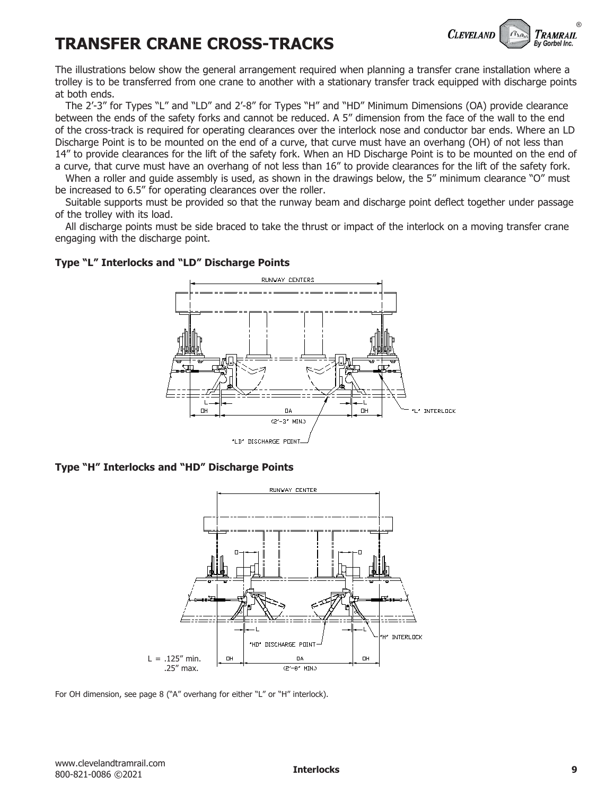# **TRANSFER CRANE CROSS-TRACKS**



The illustrations below show the general arrangement required when planning a transfer crane installation where a trolley is to be transferred from one crane to another with a stationary transfer track equipped with discharge points at both ends.

 The 2'-3" for Types "L" and "LD" and 2'-8" for Types "H" and "HD" Minimum Dimensions (OA) provide clearance between the ends of the safety forks and cannot be reduced. A 5" dimension from the face of the wall to the end of the cross-track is required for operating clearances over the interlock nose and conductor bar ends. Where an LD Discharge Point is to be mounted on the end of a curve, that curve must have an overhang (OH) of not less than 14" to provide clearances for the lift of the safety fork. When an HD Discharge Point is to be mounted on the end of a curve, that curve must have an overhang of not less than 16" to provide clearances for the lift of the safety fork.

When a roller and guide assembly is used, as shown in the drawings below, the 5" minimum clearance "O" must be increased to 6.5" for operating clearances over the roller.

 Suitable supports must be provided so that the runway beam and discharge point deflect together under passage of the trolley with its load.

 All discharge points must be side braced to take the thrust or impact of the interlock on a moving transfer crane engaging with the discharge point.



#### **Type "L" Interlocks and "LD" Discharge Points**

**Type "H" Interlocks and "HD" Discharge Points**



For OH dimension, see page 8 ("A" overhang for either "L" or "H" interlock).